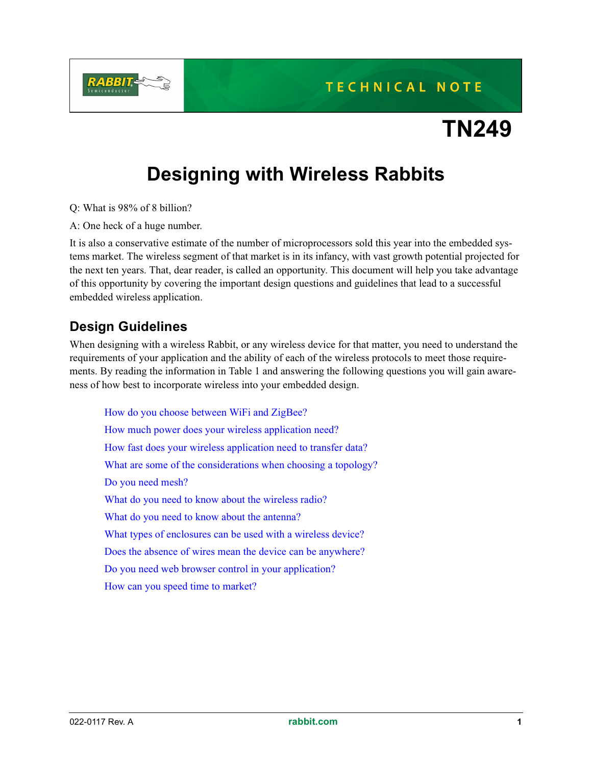# **TECHNICAL NOTE**

# **TN249**

# **Designing with Wireless Rabbits**

Q: What is 98% of 8 billion?

A: One heck of a huge number.

It is also a conservative estimate of the number of microprocessors sold this year into the embedded systems market. The wireless segment of that market is in its infancy, with vast growth potential projected for the next ten years. That, dear reader, is called an opportunity. This document will help you take advantage of this opportunity by covering the important design questions and guidelines that lead to a successful embedded wireless application.

### **Design Guidelines**

When designing with a wireless Rabbit, or any wireless device for that matter, you need to understand the requirements of your application and the ability of each of the wireless protocols to meet those requirements. By reading the information in [Table 1](#page-1-1) and answering the following questions you will gain awareness of how best to incorporate wireless into your embedded design.

[How do you choose between WiFi and ZigBee?](#page-1-0) [How much power does your wireless application need?](#page-1-3) [How fast does your wireless application need to transfer data?](#page-1-2) [What are some of the considerations when choosing a topology?](#page-2-1) [Do you need mesh?](#page-2-0) [What do you need to know about the wireless radio?](#page-2-2) [What do you need to know about the antenna?](#page-3-4) [What types of enclosures can be used with a wireless device?](#page-3-2) [Does the absence of wires mean the device can be anywhere?](#page-3-0) [Do you need web browser control in your application?](#page-3-1) [How can you speed time to market?](#page-3-3)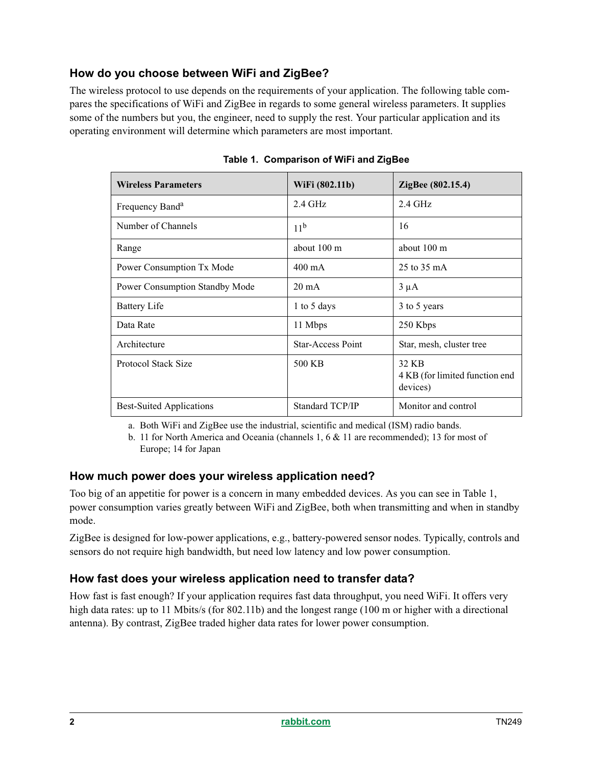#### <span id="page-1-0"></span>**How do you choose between WiFi and ZigBee?**

The wireless protocol to use depends on the requirements of your application. The following table compares the specifications of WiFi and ZigBee in regards to some general wireless parameters. It supplies some of the numbers but you, the engineer, need to supply the rest. Your particular application and its operating environment will determine which parameters are most important.

<span id="page-1-1"></span>

| <b>Wireless Parameters</b>      | WiFi (802.11b)    | ZigBee (802.15.4)                                   |
|---------------------------------|-------------------|-----------------------------------------------------|
| Frequency Band <sup>a</sup>     | $2.4$ GHz         | $2.4$ GHz                                           |
| Number of Channels              | 11 <sup>b</sup>   | 16                                                  |
| Range                           | about 100 m       | about 100 m                                         |
| Power Consumption Tx Mode       | $400 \text{ mA}$  | 25 to 35 mA                                         |
| Power Consumption Standby Mode  | $20 \text{ mA}$   | $3 \mu A$                                           |
| <b>Battery Life</b>             | 1 to 5 days       | 3 to 5 years                                        |
| Data Rate                       | 11 Mbps           | 250 Kbps                                            |
| Architecture                    | Star-Access Point | Star, mesh, cluster tree                            |
| Protocol Stack Size             | 500 KB            | 32 KB<br>4 KB (for limited function end<br>devices) |
| <b>Best-Suited Applications</b> | Standard TCP/IP   | Monitor and control                                 |

**Table 1. Comparison of WiFi and ZigBee**

a. Both WiFi and ZigBee use the industrial, scientific and medical (ISM) radio bands.

b. 11 for North America and Oceania (channels 1, 6 & 11 are recommended); 13 for most of Europe; 14 for Japan

#### <span id="page-1-3"></span>**How much power does your wireless application need?**

Too big of an appetitie for power is a concern in many embedded devices. As you can see in [Table 1,](#page-1-1) power consumption varies greatly between WiFi and ZigBee, both when transmitting and when in standby mode.

ZigBee is designed for low-power applications, e.g., battery-powered sensor nodes. Typically, controls and sensors do not require high bandwidth, but need low latency and low power consumption.

#### <span id="page-1-2"></span>**How fast does your wireless application need to transfer data?**

How fast is fast enough? If your application requires fast data throughput, you need WiFi. It offers very high data rates: up to 11 Mbits/s (for 802.11b) and the longest range (100 m or higher with a directional antenna). By contrast, ZigBee traded higher data rates for lower power consumption.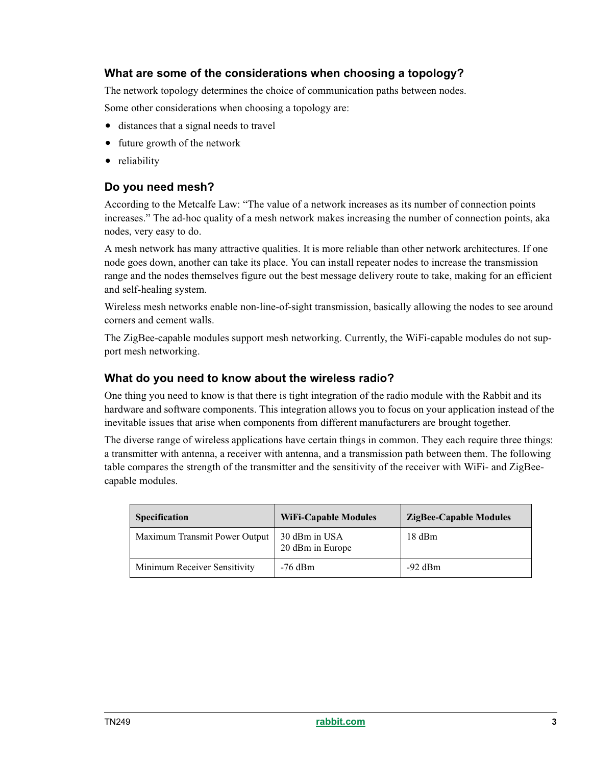#### <span id="page-2-1"></span>**What are some of the considerations when choosing a topology?**

The network topology determines the choice of communication paths between nodes.

Some other considerations when choosing a topology are:

- distances that a signal needs to travel
- future growth of the network
- reliability

#### <span id="page-2-0"></span>**Do you need mesh?**

According to the Metcalfe Law: "The value of a network increases as its number of connection points increases." The ad-hoc quality of a mesh network makes increasing the number of connection points, aka nodes, very easy to do.

A mesh network has many attractive qualities. It is more reliable than other network architectures. If one node goes down, another can take its place. You can install repeater nodes to increase the transmission range and the nodes themselves figure out the best message delivery route to take, making for an efficient and self-healing system.

Wireless mesh networks enable non-line-of-sight transmission, basically allowing the nodes to see around corners and cement walls.

The ZigBee-capable modules support mesh networking. Currently, the WiFi-capable modules do not support mesh networking.

#### <span id="page-2-2"></span>**What do you need to know about the wireless radio?**

One thing you need to know is that there is tight integration of the radio module with the Rabbit and its hardware and software components. This integration allows you to focus on your application instead of the inevitable issues that arise when components from different manufacturers are brought together.

The diverse range of wireless applications have certain things in common. They each require three things: a transmitter with antenna, a receiver with antenna, and a transmission path between them. The following table compares the strength of the transmitter and the sensitivity of the receiver with WiFi- and ZigBeecapable modules.

| <b>Specification</b>          | <b>WiFi-Capable Modules</b>       | <b>ZigBee-Capable Modules</b> |
|-------------------------------|-----------------------------------|-------------------------------|
| Maximum Transmit Power Output | 30 dBm in USA<br>20 dBm in Europe | 18 dBm                        |
| Minimum Receiver Sensitivity  | $-76$ dBm                         | $-92$ dBm                     |